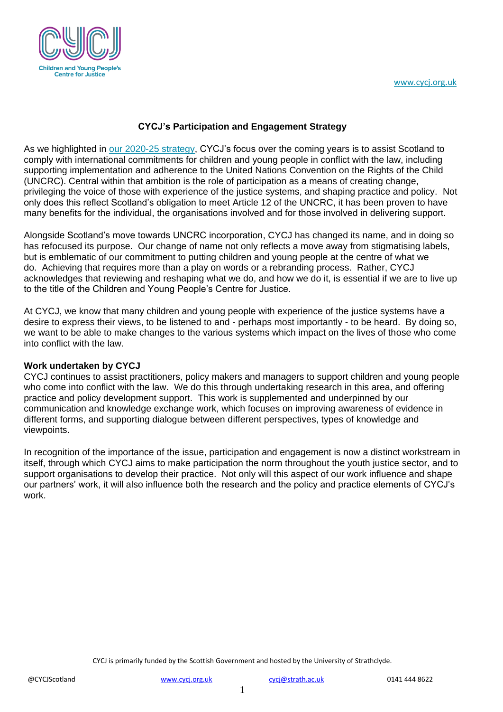

### **CYCJ's Participation and Engagement Strategy**

As we highlighted in [our 2020-25 strategy,](http://www.cycj.org.uk/wp-content/uploads/2020/08/CYCJ-2020-2025-Strategy.pdf) CYCJ's focus over the coming years is to assist Scotland to comply with international commitments for children and young people in conflict with the law, including supporting implementation and adherence to the United Nations Convention on the Rights of the Child (UNCRC). Central within that ambition is the role of participation as a means of creating change, privileging the voice of those with experience of the justice systems, and shaping practice and policy. Not only does this reflect Scotland's obligation to meet Article 12 of the UNCRC, it has been proven to have many benefits for the individual, the organisations involved and for those involved in delivering support.

Alongside Scotland's move towards UNCRC incorporation, CYCJ has changed its name, and in doing so has refocused its purpose. Our change of name not only reflects a move away from stigmatising labels, but is emblematic of our commitment to putting children and young people at the centre of what we do. Achieving that requires more than a play on words or a rebranding process. Rather, CYCJ acknowledges that reviewing and reshaping what we do, and how we do it, is essential if we are to live up to the title of the Children and Young People's Centre for Justice.

At CYCJ, we know that many children and young people with experience of the justice systems have a desire to express their views, to be listened to and - perhaps most importantly - to be heard. By doing so, we want to be able to make changes to the various systems which impact on the lives of those who come into conflict with the law.

### **Work undertaken by CYCJ**

CYCJ continues to assist practitioners, policy makers and managers to support children and young people who come into conflict with the law. We do this through undertaking research in this area, and offering practice and policy development support. This work is supplemented and underpinned by our communication and knowledge exchange work, which focuses on improving awareness of evidence in different forms, and supporting dialogue between different perspectives, types of knowledge and viewpoints.

In recognition of the importance of the issue, participation and engagement is now a distinct workstream in itself, through which CYCJ aims to make participation the norm throughout the youth justice sector, and to support organisations to develop their practice. Not only will this aspect of our work influence and shape our partners' work, it will also influence both the research and the policy and practice elements of CYCJ's work.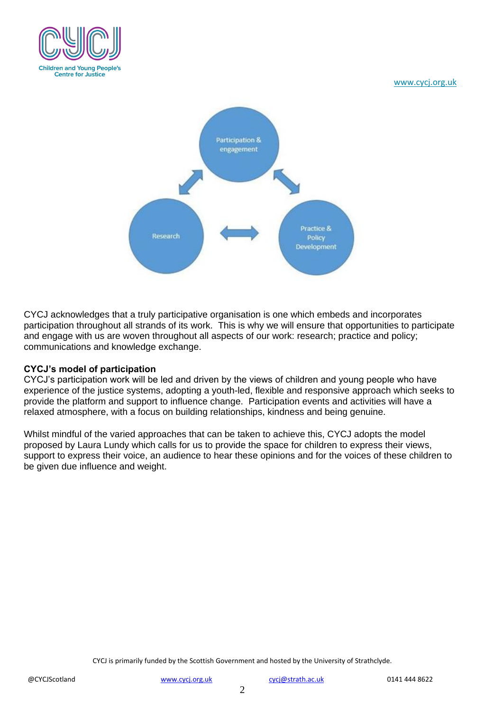

[www.cycj.org.uk](http://www.cycj.org.uk/)



CYCJ acknowledges that a truly participative organisation is one which embeds and incorporates participation throughout all strands of its work. This is why we will ensure that opportunities to participate and engage with us are woven throughout all aspects of our work: research; practice and policy; communications and knowledge exchange.

# **CYCJ's model of participation**

CYCJ's participation work will be led and driven by the views of children and young people who have experience of the justice systems, adopting a youth-led, flexible and responsive approach which seeks to provide the platform and support to influence change. Participation events and activities will have a relaxed atmosphere, with a focus on building relationships, kindness and being genuine.

Whilst mindful of the varied approaches that can be taken to achieve this, CYCJ adopts the model proposed by Laura Lundy which calls for us to provide the space for children to express their views, support to express their voice, an audience to hear these opinions and for the voices of these children to be given due influence and weight.

CYCJ is primarily funded by the Scottish Government and hosted by the University of Strathclyde.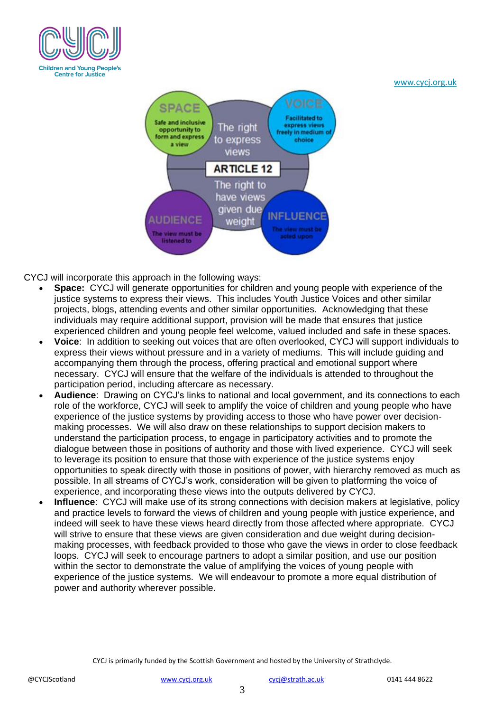

#### [www.cycj.org.uk](http://www.cycj.org.uk/)



CYCJ will incorporate this approach in the following ways:

- **Space:** CYCJ will generate opportunities for children and young people with experience of the justice systems to express their views. This includes Youth Justice Voices and other similar projects, blogs, attending events and other similar opportunities. Acknowledging that these individuals may require additional support, provision will be made that ensures that justice experienced children and young people feel welcome, valued included and safe in these spaces.
- **Voice**: In addition to seeking out voices that are often overlooked, CYCJ will support individuals to express their views without pressure and in a variety of mediums. This will include guiding and accompanying them through the process, offering practical and emotional support where necessary. CYCJ will ensure that the welfare of the individuals is attended to throughout the participation period, including aftercare as necessary.
- **Audience**: Drawing on CYCJ's links to national and local government, and its connections to each role of the workforce, CYCJ will seek to amplify the voice of children and young people who have experience of the justice systems by providing access to those who have power over decisionmaking processes. We will also draw on these relationships to support decision makers to understand the participation process, to engage in participatory activities and to promote the dialogue between those in positions of authority and those with lived experience. CYCJ will seek to leverage its position to ensure that those with experience of the justice systems enjoy opportunities to speak directly with those in positions of power, with hierarchy removed as much as possible. In all streams of CYCJ's work, consideration will be given to platforming the voice of experience, and incorporating these views into the outputs delivered by CYCJ.
- **Influence**: CYCJ will make use of its strong connections with decision makers at legislative, policy and practice levels to forward the views of children and young people with justice experience, and indeed will seek to have these views heard directly from those affected where appropriate. CYCJ will strive to ensure that these views are given consideration and due weight during decisionmaking processes, with feedback provided to those who gave the views in order to close feedback loops. CYCJ will seek to encourage partners to adopt a similar position, and use our position within the sector to demonstrate the value of amplifying the voices of young people with experience of the justice systems. We will endeavour to promote a more equal distribution of power and authority wherever possible.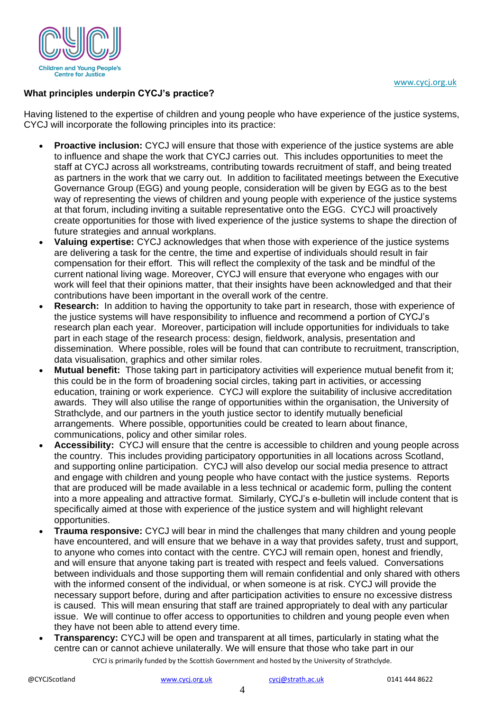

# **What principles underpin CYCJ's practice?**

Having listened to the expertise of children and young people who have experience of the justice systems, CYCJ will incorporate the following principles into its practice:

- **Proactive inclusion:** CYCJ will ensure that those with experience of the justice systems are able to influence and shape the work that CYCJ carries out. This includes opportunities to meet the staff at CYCJ across all workstreams, contributing towards recruitment of staff, and being treated as partners in the work that we carry out. In addition to facilitated meetings between the Executive Governance Group (EGG) and young people, consideration will be given by EGG as to the best way of representing the views of children and young people with experience of the justice systems at that forum, including inviting a suitable representative onto the EGG. CYCJ will proactively create opportunities for those with lived experience of the justice systems to shape the direction of future strategies and annual workplans.
- **Valuing expertise:** CYCJ acknowledges that when those with experience of the justice systems are delivering a task for the centre, the time and expertise of individuals should result in fair compensation for their effort. This will reflect the complexity of the task and be mindful of the current national living wage. Moreover, CYCJ will ensure that everyone who engages with our work will feel that their opinions matter, that their insights have been acknowledged and that their contributions have been important in the overall work of the centre.
- **Research:** In addition to having the opportunity to take part in research, those with experience of the justice systems will have responsibility to influence and recommend a portion of CYCJ's research plan each year. Moreover, participation will include opportunities for individuals to take part in each stage of the research process: design, fieldwork, analysis, presentation and dissemination. Where possible, roles will be found that can contribute to recruitment, transcription, data visualisation, graphics and other similar roles.
- **Mutual benefit:** Those taking part in participatory activities will experience mutual benefit from it; this could be in the form of broadening social circles, taking part in activities, or accessing education, training or work experience. CYCJ will explore the suitability of inclusive accreditation awards. They will also utilise the range of opportunities within the organisation, the University of Strathclyde, and our partners in the youth justice sector to identify mutually beneficial arrangements. Where possible, opportunities could be created to learn about finance, communications, policy and other similar roles.
- **Accessibility:** CYCJ will ensure that the centre is accessible to children and young people across the country. This includes providing participatory opportunities in all locations across Scotland, and supporting online participation. CYCJ will also develop our social media presence to attract and engage with children and young people who have contact with the justice systems. Reports that are produced will be made available in a less technical or academic form, pulling the content into a more appealing and attractive format. Similarly, CYCJ's e-bulletin will include content that is specifically aimed at those with experience of the justice system and will highlight relevant opportunities.
- **Trauma responsive:** CYCJ will bear in mind the challenges that many children and young people have encountered, and will ensure that we behave in a way that provides safety, trust and support, to anyone who comes into contact with the centre. CYCJ will remain open, honest and friendly, and will ensure that anyone taking part is treated with respect and feels valued. Conversations between individuals and those supporting them will remain confidential and only shared with others with the informed consent of the individual, or when someone is at risk. CYCJ will provide the necessary support before, during and after participation activities to ensure no excessive distress is caused. This will mean ensuring that staff are trained appropriately to deal with any particular issue. We will continue to offer access to opportunities to children and young people even when they have not been able to attend every time.
- CYCJ is primarily funded by the Scottish Government and hosted by the University of Strathclyde. **Transparency:** CYCJ will be open and transparent at all times, particularly in stating what the centre can or cannot achieve unilaterally. We will ensure that those who take part in our